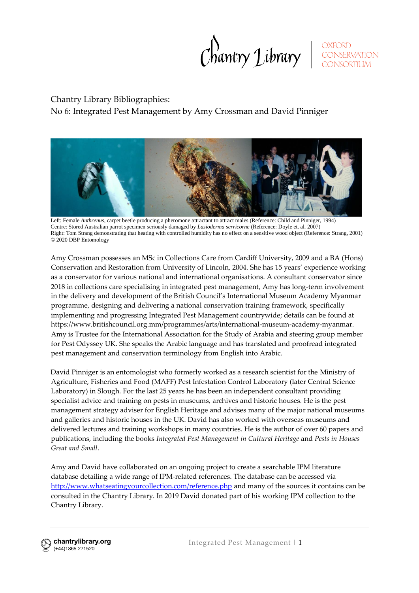Chantry Library SONSERVATION

# Chantry Library Bibliographies:

No 6: Integrated Pest Management by Amy Crossman and David Pinniger



Left: Female *Anthrenus*, carpet beetle producing a pheromone attractant to attract males (Reference: Child and Pinniger, 1994) Centre: Stored Australian parrot specimen seriously damaged by *Lasioderma serricorne* (Reference: Doyle et. al. 2007) Right: Tom Strang demonstrating that heating with controlled humidity has no effect on a sensitive wood object (Reference: Strang, 2001) © 2020 DBP Entomology

Amy Crossman possesses an MSc in Collections Care from Cardiff University, 2009 and a BA (Hons) Conservation and Restoration from University of Lincoln, 2004. She has 15 years' experience working as a conservator for various national and international organisations. A consultant conservator since 2018 in collections care specialising in integrated pest management, Amy has long-term involvement in the delivery and development of the British Council's International Museum Academy Myanmar programme, designing and delivering a national conservation training framework, specifically implementing and progressing Integrated Pest Management countrywide; details can be found at https://www.britishcouncil.org.mm/programmes/arts/international-museum-academy-myanmar. Amy is Trustee for the International Association for the Study of Arabia and steering group member for Pest Odyssey UK. She speaks the Arabic language and has translated and proofread integrated pest management and conservation terminology from English into Arabic.

David Pinniger is an entomologist who formerly worked as a research scientist for the Ministry of Agriculture, Fisheries and Food (MAFF) Pest Infestation Control Laboratory (later Central Science Laboratory) in Slough. For the last 25 years he has been an independent consultant providing specialist advice and training on pests in museums, archives and historic houses. He is the pest management strategy adviser for English Heritage and advises many of the major national museums and galleries and historic houses in the UK. David has also worked with overseas museums and delivered lectures and training workshops in many countries. He is the author of over 60 papers and publications, including the books *Integrated Pest Management in Cultural Heritage* and *Pests in Houses Great and Small*.

Amy and David have collaborated on an ongoing project to create a searchable IPM literature database detailing a wide range of IPM-related references. The database can be accessed via <http://www.whatseatingyourcollection.com/reference.php> and many of the sources it contains can be consulted in the Chantry Library. In 2019 David donated part of his working IPM collection to the Chantry Library.

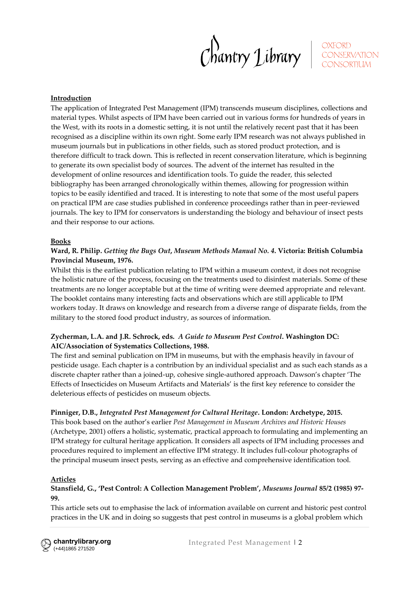Chantry Library SONSERVATION

#### **Introduction**

The application of Integrated Pest Management (IPM) transcends museum disciplines, collections and material types. Whilst aspects of IPM have been carried out in various forms for hundreds of years in the West, with its roots in a domestic setting, it is not until the relatively recent past that it has been recognised as a discipline within its own right. Some early IPM research was not always published in museum journals but in publications in other fields, such as stored product protection, and is therefore difficult to track down. This is reflected in recent conservation literature, which is beginning to generate its own specialist body of sources. The advent of the internet has resulted in the development of online resources and identification tools. To guide the reader, this selected bibliography has been arranged chronologically within themes, allowing for progression within topics to be easily identified and traced. It is interesting to note that some of the most useful papers on practical IPM are case studies published in conference proceedings rather than in peer-reviewed journals. The key to IPM for conservators is understanding the biology and behaviour of insect pests and their response to our actions.

#### **Books**

#### **Ward, R. Philip.** *Getting the Bugs Out***,** *Museum Methods Manual No. 4***. Victoria: British Columbia Provincial Museum, 1976.**

Whilst this is the earliest publication relating to IPM within a museum context, it does not recognise the holistic nature of the process, focusing on the treatments used to disinfest materials. Some of these treatments are no longer acceptable but at the time of writing were deemed appropriate and relevant. The booklet contains many interesting facts and observations which are still applicable to IPM workers today. It draws on knowledge and research from a diverse range of disparate fields, from the military to the stored food product industry, as sources of information.

#### **Zycherman, L.A. and J.R. Schrock, eds.** *A Guide to Museum Pest Control***. Washington DC: AIC/Association of Systematics Collections, 1988.**

The first and seminal publication on IPM in museums, but with the emphasis heavily in favour of pesticide usage. Each chapter is a contribution by an individual specialist and as such each stands as a discrete chapter rather than a joined-up, cohesive single-authored approach. Dawson's chapter 'The Effects of Insecticides on Museum Artifacts and Materials' is the first key reference to consider the deleterious effects of pesticides on museum objects.

#### **Pinniger, D.B.,** *Integrated Pest Management for Cultural Heritage***. London: Archetype, 2015.**

This book based on the author's earlier *Pest Management in Museum Archives and Historic Houses* (Archetype, 2001) offers a holistic, systematic, practical approach to formulating and implementing an IPM strategy for cultural heritage application. It considers all aspects of IPM including processes and procedures required to implement an effective IPM strategy. It includes full-colour photographs of the principal museum insect pests, serving as an effective and comprehensive identification tool.

#### **Articles**

#### **Stansfield, G., 'Pest Control: A Collection Management Problem',** *Museums Journal* **85/2 (1985) 97- 99.**

This article sets out to emphasise the lack of information available on current and historic pest control practices in the UK and in doing so suggests that pest control in museums is a global problem which

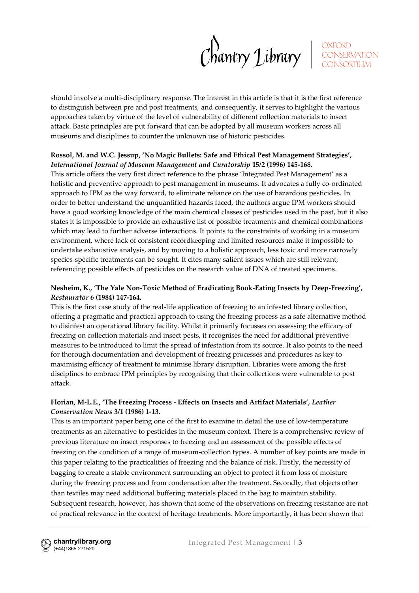$Chawtry$  Library

OXFORD<br>CONSERVATION

should involve a multi-disciplinary response. The interest in this article is that it is the first reference to distinguish between pre and post treatments, and consequently, it serves to highlight the various approaches taken by virtue of the level of vulnerability of different collection materials to insect attack. Basic principles are put forward that can be adopted by all museum workers across all museums and disciplines to counter the unknown use of historic pesticides.

## **Rossol, M. and W.C. Jessup, 'No Magic Bullets: Safe and Ethical Pest Management Strategies',** *International Journal of Museum Management and Curatorship* **15/2 (1996) 145-168.**

This article offers the very first direct reference to the phrase 'Integrated Pest Management' as a holistic and preventive approach to pest management in museums. It advocates a fully co-ordinated approach to IPM as the way forward, to eliminate reliance on the use of hazardous pesticides. In order to better understand the unquantified hazards faced, the authors argue IPM workers should have a good working knowledge of the main chemical classes of pesticides used in the past, but it also states it is impossible to provide an exhaustive list of possible treatments and chemical combinations which may lead to further adverse interactions. It points to the constraints of working in a museum environment, where lack of consistent recordkeeping and limited resources make it impossible to undertake exhaustive analysis, and by moving to a holistic approach, less toxic and more narrowly species-specific treatments can be sought. It cites many salient issues which are still relevant, referencing possible effects of pesticides on the research value of DNA of treated specimens.

## **Nesheim, K., 'The Yale Non-Toxic Method of Eradicating Book-Eating Insects by Deep-Freezing',**  *Restaurator 6* **(1984) 147-164.**

This is the first case study of the real-life application of freezing to an infested library collection, offering a pragmatic and practical approach to using the freezing process as a safe alternative method to disinfest an operational library facility. Whilst it primarily focusses on assessing the efficacy of freezing on collection materials and insect pests, it recognises the need for additional preventive measures to be introduced to limit the spread of infestation from its source. It also points to the need for thorough documentation and development of freezing processes and procedures as key to maximising efficacy of treatment to minimise library disruption. Libraries were among the first disciplines to embrace IPM principles by recognising that their collections were vulnerable to pest attack.

#### **Florian, M-L.E., 'The Freezing Process - Effects on Insects and Artifact Materials',** *Leather Conservation News* **3/1 (1986) 1-13.**

This is an important paper being one of the first to examine in detail the use of low-temperature treatments as an alternative to pesticides in the museum context. There is a comprehensive review of previous literature on insect responses to freezing and an assessment of the possible effects of freezing on the condition of a range of museum-collection types. A number of key points are made in this paper relating to the practicalities of freezing and the balance of risk. Firstly, the necessity of bagging to create a stable environment surrounding an object to protect it from loss of moisture during the freezing process and from condensation after the treatment. Secondly, that objects other than textiles may need additional buffering materials placed in the bag to maintain stability. Subsequent research, however, has shown that some of the observations on freezing resistance are not of practical relevance in the context of heritage treatments. More importantly, it has been shown that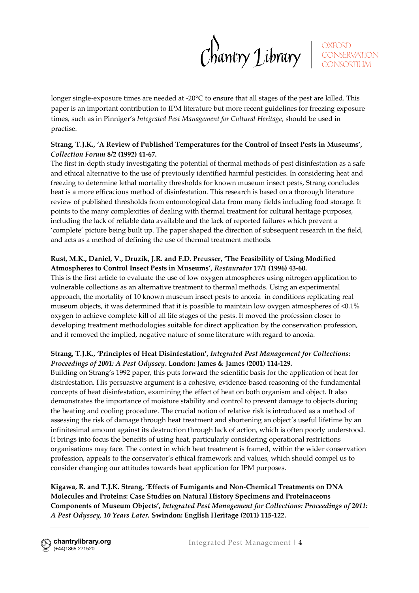$Chawtry$  Library  $\int_{\text{conservation}}^{\text{ONFORD}}$ 

longer single-exposure times are needed at -20°C to ensure that all stages of the pest are killed. This paper is an important contribution to IPM literature but more recent guidelines for freezing exposure times, such as in Pinniger's *Integrated Pest Management for Cultural Heritage*, should be used in practise.

## **Strang, T.J.K., 'A Review of Published Temperatures for the Control of Insect Pests in Museums',**  *Collection Forum* **8/2 (1992) 41-67.**

The first in-depth study investigating the potential of thermal methods of pest disinfestation as a safe and ethical alternative to the use of previously identified harmful pesticides. In considering heat and freezing to determine lethal mortality thresholds for known museum insect pests, Strang concludes heat is a more efficacious method of disinfestation. This research is based on a thorough literature review of published thresholds from entomological data from many fields including food storage. It points to the many complexities of dealing with thermal treatment for cultural heritage purposes, including the lack of reliable data available and the lack of reported failures which prevent a 'complete' picture being built up. The paper shaped the direction of subsequent research in the field, and acts as a method of defining the use of thermal treatment methods.

## **Rust, M.K., Daniel, V., Druzik, J.R. and F.D. Preusser, 'The Feasibility of Using Modified Atmospheres to Control Insect Pests in Museums',** *Restaurator* **17/1 (1996) 43-60.**

This is the first article to evaluate the use of low oxygen atmospheres using nitrogen application to vulnerable collections as an alternative treatment to thermal methods. Using an experimental approach, the mortality of 10 known museum insect pests to anoxia in conditions replicating real museum objects, it was determined that it is possible to maintain low oxygen atmospheres of <0.1% oxygen to achieve complete kill of all life stages of the pests. It moved the profession closer to developing treatment methodologies suitable for direct application by the conservation profession, and it removed the implied, negative nature of some literature with regard to anoxia.

## **Strang, T.J.K., 'Principles of Heat Disinfestation',** *Integrated Pest Management for Collections: Proceedings of 2001: A Pest Odyssey***. London: James & James (2001) 114-129.**

Building on Strang's 1992 paper, this puts forward the scientific basis for the application of heat for disinfestation. His persuasive argument is a cohesive, evidence-based reasoning of the fundamental concepts of heat disinfestation, examining the effect of heat on both organism and object. It also demonstrates the importance of moisture stability and control to prevent damage to objects during the heating and cooling procedure. The crucial notion of relative risk is introduced as a method of assessing the risk of damage through heat treatment and shortening an object's useful lifetime by an infinitesimal amount against its destruction through lack of action, which is often poorly understood. It brings into focus the benefits of using heat, particularly considering operational restrictions organisations may face. The context in which heat treatment is framed, within the wider conservation profession, appeals to the conservator's ethical framework and values, which should compel us to consider changing our attitudes towards heat application for IPM purposes.

**Kigawa, R. and T.J.K. Strang, 'Effects of Fumigants and Non-Chemical Treatments on DNA Molecules and Proteins: Case Studies on Natural History Specimens and Proteinaceous Components of Museum Objects',** *Integrated Pest Management for Collections: Proceedings of 2011: A Pest Odyssey, 10 Years Later.* **Swindon: English Heritage (2011) 115-122.**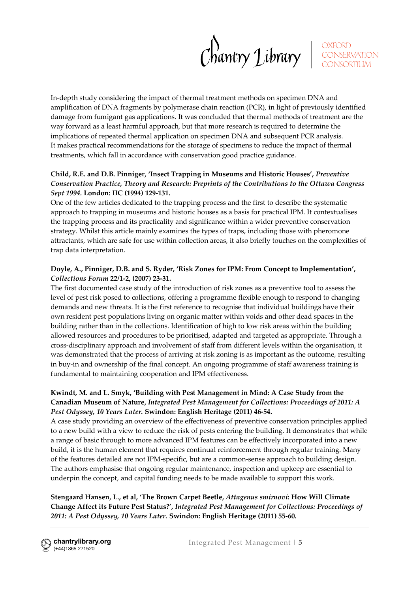Chantry Library ECONSERVATION

In-depth study considering the impact of thermal treatment methods on specimen DNA and amplification of DNA fragments by polymerase chain reaction (PCR), in light of previously identified damage from fumigant gas applications. It was concluded that thermal methods of treatment are the way forward as a least harmful approach, but that more research is required to determine the implications of repeated thermal application on specimen DNA and subsequent PCR analysis. It makes practical recommendations for the storage of specimens to reduce the impact of thermal treatments, which fall in accordance with conservation good practice guidance.

### **Child, R.E. and D.B. Pinniger, 'Insect Trapping in Museums and Historic Houses',** *Preventive Conservation Practice, Theory and Research: Preprints of the Contributions to the Ottawa Congress Sept 1994.* **London: IIC (1994) 129-131.**

One of the few articles dedicated to the trapping process and the first to describe the systematic approach to trapping in museums and historic houses as a basis for practical IPM. It contextualises the trapping process and its practicality and significance within a wider preventive conservation strategy. Whilst this article mainly examines the types of traps, including those with pheromone attractants, which are safe for use within collection areas, it also briefly touches on the complexities of trap data interpretation.

#### **Doyle, A., Pinniger, D.B. and S. Ryder, 'Risk Zones for IPM: From Concept to Implementation',**  *Collections Forum* **22/1-2, (2007) 23-31.**

The first documented case study of the introduction of risk zones as a preventive tool to assess the level of pest risk posed to collections, offering a programme flexible enough to respond to changing demands and new threats. It is the first reference to recognise that individual buildings have their own resident pest populations living on organic matter within voids and other dead spaces in the building rather than in the collections. Identification of high to low risk areas within the building allowed resources and procedures to be prioritised, adapted and targeted as appropriate. Through a cross-disciplinary approach and involvement of staff from different levels within the organisation, it was demonstrated that the process of arriving at risk zoning is as important as the outcome, resulting in buy-in and ownership of the final concept. An ongoing programme of staff awareness training is fundamental to maintaining cooperation and IPM effectiveness.

### **Kwindt, M. and L. Smyk, 'Building with Pest Management in Mind: A Case Study from the Canadian Museum of Nature,** *Integrated Pest Management for Collections: Proceedings of 2011: A Pest Odyssey, 10 Years Later.* **Swindon: English Heritage (2011) 46-54.**

A case study providing an overview of the effectiveness of preventive conservation principles applied to a new build with a view to reduce the risk of pests entering the building. It demonstrates that while a range of basic through to more advanced IPM features can be effectively incorporated into a new build, it is the human element that requires continual reinforcement through regular training. Many of the features detailed are not IPM-specific, but are a common-sense approach to building design. The authors emphasise that ongoing regular maintenance, inspection and upkeep are essential to underpin the concept, and capital funding needs to be made available to support this work.

## **Stengaard Hansen, L., et al, 'The Brown Carpet Beetle,** *Attagenus smirnovi***: How Will Climate Change Affect its Future Pest Status?',** *Integrated Pest Management for Collections: Proceedings of 2011: A Pest Odyssey, 10 Years Later.* **Swindon: English Heritage (2011) 55-60.**